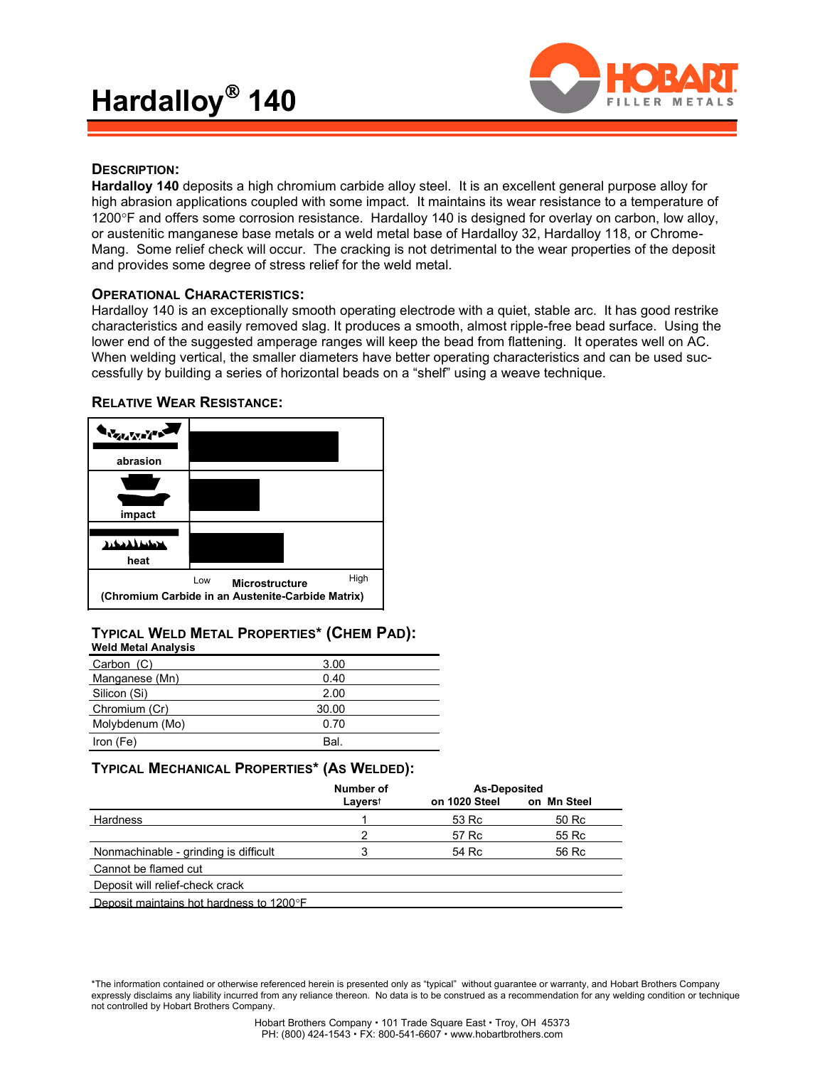

### **DESCRIPTION:**

**Hardalloy 140** deposits a high chromium carbide alloy steel. It is an excellent general purpose alloy for high abrasion applications coupled with some impact. It maintains its wear resistance to a temperature of 1200°F and offers some corrosion resistance. Hardalloy 140 is designed for overlay on carbon, low alloy, or austenitic manganese base metals or a weld metal base of Hardalloy 32, Hardalloy 118, or Chrome-Mang. Some relief check will occur. The cracking is not detrimental to the wear properties of the deposit and provides some degree of stress relief for the weld metal.

### **OPERATIONAL CHARACTERISTICS:**

Hardalloy 140 is an exceptionally smooth operating electrode with a quiet, stable arc. It has good restrike characteristics and easily removed slag. It produces a smooth, almost ripple-free bead surface. Using the lower end of the suggested amperage ranges will keep the bead from flattening. It operates well on AC. When welding vertical, the smaller diameters have better operating characteristics and can be used successfully by building a series of horizontal beads on a "shelf" using a weave technique.



### **RELATIVE WEAR RESISTANCE:**

### **TYPICAL WELD METAL PROPERTIES\* (CHEM PAD): Weld Metal Analysis**

| Carbon (C)      | 3.00  |
|-----------------|-------|
| Manganese (Mn)  | 0.40  |
| Silicon (Si)    | 2.00  |
| Chromium (Cr)   | 30.00 |
| Molybdenum (Mo) | 0.70  |
| Iron (Fe)       | Bal   |

## **TYPICAL MECHANICAL PROPERTIES\* (AS WELDED):**

|                                          | Number of      | <b>As-Deposited</b> |             |  |
|------------------------------------------|----------------|---------------------|-------------|--|
|                                          | <b>Layerst</b> | on 1020 Steel       | on Mn Steel |  |
| Hardness                                 |                | 53 Rc               | 50 Rc       |  |
|                                          | 2              | 57 Rc               | 55 Rc       |  |
| Nonmachinable - grinding is difficult    | 3              | 54 Rc               | 56 Rc       |  |
| Cannot be flamed cut                     |                |                     |             |  |
| Deposit will relief-check crack          |                |                     |             |  |
| Deposit maintains hot hardness to 1200°F |                |                     |             |  |

\*The information contained or otherwise referenced herein is presented only as "typical" without guarantee or warranty, and Hobart Brothers Company expressly disclaims any liability incurred from any reliance thereon. No data is to be construed as a recommendation for any welding condition or technique not controlled by Hobart Brothers Company.